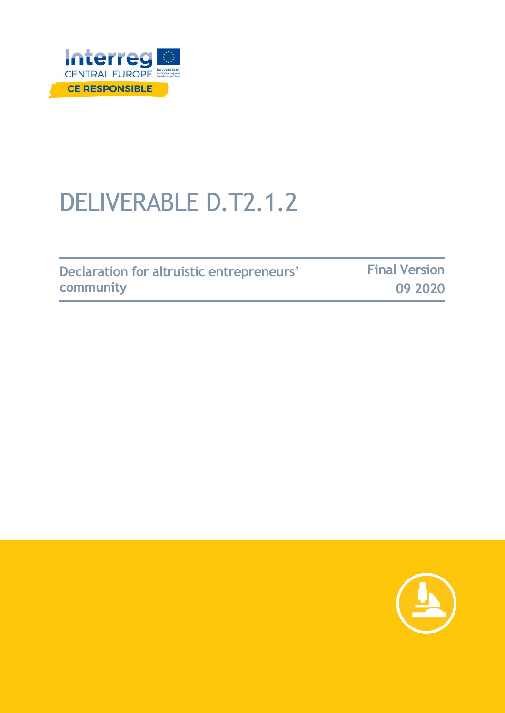

# DELIVERABLE D.T2.1.2

|           | Declaration for altruistic entrepreneurs' | <b>Final Version</b> |
|-----------|-------------------------------------------|----------------------|
| community |                                           | 09 2020              |

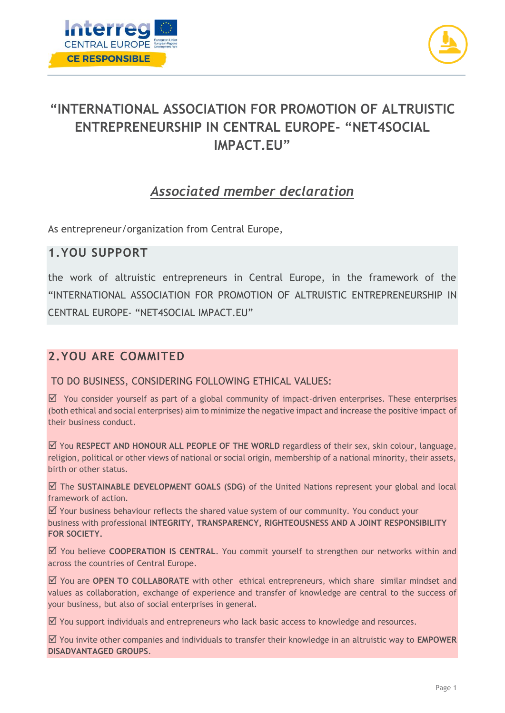



## **"INTERNATIONAL ASSOCIATION FOR PROMOTION OF ALTRUISTIC ENTREPRENEURSHIP IN CENTRAL EUROPE- "NET4SOCIAL IMPACT.EU"**

## *Associated member declaration*

As entrepreneur/organization from Central Europe,

#### **1.YOU SUPPORT**

the work of altruistic entrepreneurs in Central Europe, in the framework of the "INTERNATIONAL ASSOCIATION FOR PROMOTION OF ALTRUISTIC ENTREPRENEURSHIP IN CENTRAL EUROPE- "NET4SOCIAL IMPACT.EU"

### **2.YOU ARE COMMITED**

TO DO BUSINESS, CONSIDERING FOLLOWING ETHICAL VALUES:

 $\boxtimes$  You consider yourself as part of a global community of impact-driven enterprises. These enterprises (both ethical and social enterprises) aim to minimize the negative impact and increase the positive impact of their business conduct.

 You **RESPECT AND HONOUR ALL PEOPLE OF THE WORLD** regardless of their sex, skin colour, language, religion, political or other views of national or social origin, membership of a national minority, their assets, birth or other status.

 The **SUSTAINABLE DEVELOPMENT GOALS (SDG)** of the United Nations represent your global and local framework of action.

 $\boxtimes$  Your business behaviour reflects the shared value system of our community. You conduct your business with professional **INTEGRITY, TRANSPARENCY, RIGHTEOUSNESS AND A JOINT RESPONSIBILITY FOR SOCIETY.**

 You believe **COOPERATION IS CENTRAL**. You commit yourself to strengthen our networks within and across the countries of Central Europe.

 You are **OPEN TO COLLABORATE** with other ethical entrepreneurs, which share similar mindset and values as collaboration, exchange of experience and transfer of knowledge are central to the success of your business, but also of social enterprises in general.

 $\boxtimes$  You support individuals and entrepreneurs who lack basic access to knowledge and resources.

 You invite other companies and individuals to transfer their knowledge in an altruistic way to **EMPOWER DISADVANTAGED GROUPS**.